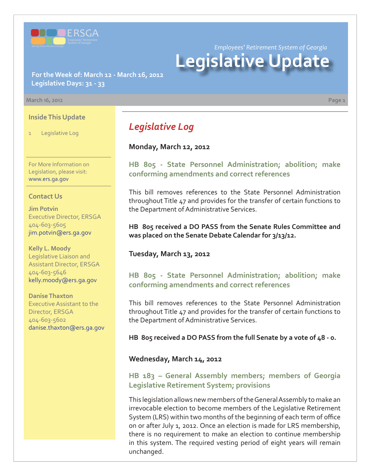

*Employees' Retirement System of Georgia*

# **Legislative Update**

**For the Week of: March 12 - March 16, 2012 Legislative Days: 31 - 33**

#### **March 16, 2012 Page 1**

#### **Inside This Update**

1 Legislative Log

For More Information on Legislation, please visit: www.ers.ga.gov

#### **Contact Us**

**Jim Potvin** Executive Director, ERSGA 404-603-5605 jim.potvin@ers.ga.gov

**Kelly L. Moody** Legislative Liaison and Assistant Director, ERSGA 404-603-5646 kelly.moody@ers.ga.gov

**Danise Thaxton** Executive Assistant to the Director, ERSGA 404-603-5602 danise.thaxton@ers.ga.gov

# *Legislative Log*

**Monday, March 12, 2012**

**[HB 805 - State Personnel Administration; abolition; make](http://www.legis.ga.gov/legislation/en-US/Display/20112012/HB/805) conforming amendments and correct references**

This bill removes references to the State Personnel Administration throughout Title 47 and provides for the transfer of certain functions to the Department of Administrative Services.

**HB 805 received a DO PASS from the Senate Rules Committee and was placed on the Senate Debate Calendar for 3/13/12.**

### **Tuesday, March 13, 2012**

**[HB 805 - State Personnel Administration; abolition; make](http://www.legis.ga.gov/legislation/en-US/Display/20112012/HB/805) conforming amendments and correct references**

This bill removes references to the State Personnel Administration throughout Title 47 and provides for the transfer of certain functions to the Department of Administrative Services.

**HB 805 received a DO PASS from the full Senate by a vote of 48 - 0.** 

### **Wednesday, March 14, 2012**

# **[HB 183 – General Assembly members; members of Georgia](http://www.legis.ga.gov/legislation/en-US/Display/20112012/HB/183) Legislative Retirement System; provisions**

This legislation allows new members of the General Assembly to make an irrevocable election to become members of the Legislative Retirement System (LRS) within two months of the beginning of each term of office on or after July 1, 2012. Once an election is made for LRS membership, there is no requirement to make an election to continue membership in this system. The required vesting period of eight years will remain unchanged.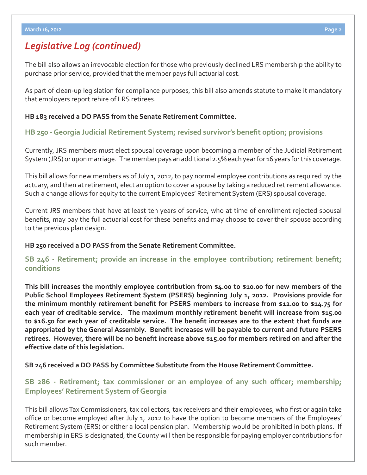# *Legislative Log (continued)*

The bill also allows an irrevocable election for those who previously declined LRS membership the ability to purchase prior service, provided that the member pays full actuarial cost.

As part of clean-up legislation for compliance purposes, this bill also amends statute to make it mandatory that employers report rehire of LRS retirees.

### **HB 183 received a DO PASS from the Senate Retirement Committee.**

# **[HB 250 - Georgia Judicial Retirement System; revised survivor's benefi t option; provisions](http://www.legis.ga.gov/legislation/en-US/Display/20112012/HB/250)**

Currently, JRS members must elect spousal coverage upon becoming a member of the Judicial Retirement System (JRS) or upon marriage. The member pays an additional 2.5% each year for 16 years for this coverage.

This bill allows for new members as of July 1, 2012, to pay normal employee contributions as required by the actuary, and then at retirement, elect an option to cover a spouse by taking a reduced retirement allowance. Such a change allows for equity to the current Employees' Retirement System (ERS) spousal coverage.

Current JRS members that have at least ten years of service, who at time of enrollment rejected spousal benefits, may pay the full actuarial cost for these benefits and may choose to cover their spouse according to the previous plan design.

### **HB 250 received a DO PASS from the Senate Retirement Committee.**

# **SB 246 - Retirement; provide an increase in the employee contribution; retirement benefit; conditions**

**This bill increases the monthly employee contribution from \$4.00 to \$10.00 for new members of the Public School Employees Retirement System (PSERS) beginning July 1, 2012. Provisions provide for**  the minimum monthly retirement benefit for PSERS members to increase from \$12.00 to \$14.75 for each year of creditable service. The maximum monthly retirement benefit will increase from \$15.00 to \$16.50 for each year of creditable service. The benefit increases are to the extent that funds are appropriated by the General Assembly. Benefit increases will be payable to current and future PSERS retirees. However, there will be no benefit increase above \$15.00 for members retired on and after the **eff ective date of this legislation.**

**SB 246 received a DO PASS by Committee Substitute from the House Retirement Committee.**

# **[SB 286 - Retirement; tax commissioner or an employee of any such o](http://www.legis.ga.gov/legislation/en-US/Display/20112012/SB/286)fficer; membership; Employees' Retirement System of Georgia**

This bill allows Tax Commissioners, tax collectors, tax receivers and their employees, who first or again take office or become employed after July 1, 2012 to have the option to become members of the Employees' Retirement System (ERS) or either a local pension plan. Membership would be prohibited in both plans. If membership in ERS is designated, the County will then be responsible for paying employer contributions for such member.